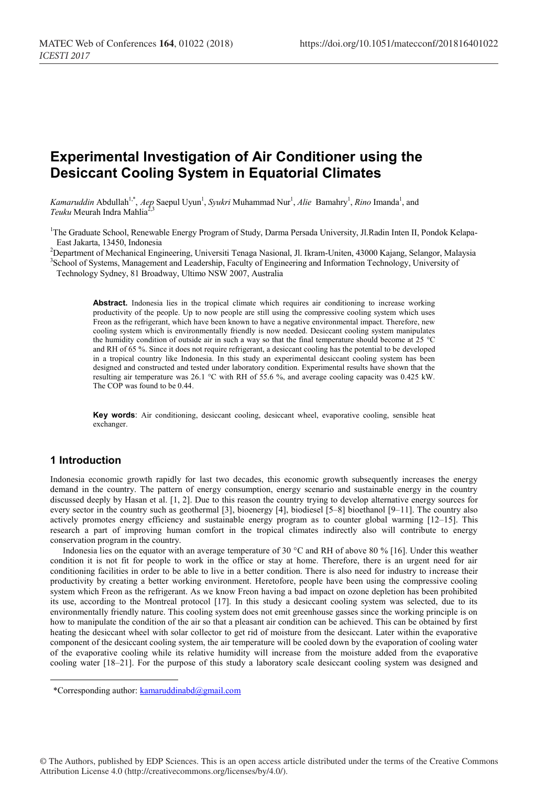# **Experimental Investigation of Air Conditioner using the Desiccant Cooling System in Equatorial Climates**

Kamaruddin Abdullah<sup>1,\*</sup>, Aep Saepul Uyun<sup>1</sup>, Syukri Muhammad Nur<sup>1</sup>, Alie Bamahry<sup>1</sup>, Rino Imanda<sup>1</sup>, and *Teuku* Meurah Indra Mahlia<sup>2,</sup>

<sup>1</sup>The Graduate School, Renewable Energy Program of Study, Darma Persada University, Jl.Radin Inten II, Pondok Kelapa-East Jakarta, 13450, Indonesia <sup>2</sup>

Department of Mechanical Engineering, Universiti Tenaga Nasional, Jl. Ikram-Uniten, 43000 Kajang, Selangor, Malaysia <sup>3</sup> School of Systems, Management and Leadership, Faculty of Engineering and Information Technology, University of Technology Sydney, 81 Broadway, Ultimo NSW 2007, Australia

**Abstract.** Indonesia lies in the tropical climate which requires air conditioning to increase working productivity of the people. Up to now people are still using the compressive cooling system which uses Freon as the refrigerant, which have been known to have a negative environmental impact. Therefore, new cooling system which is environmentally friendly is now needed. Desiccant cooling system manipulates the humidity condition of outside air in such a way so that the final temperature should become at 25 °C and RH of 65 %. Since it does not require refrigerant, a desiccant cooling has the potential to be developed in a tropical country like Indonesia. In this study an experimental desiccant cooling system has been designed and constructed and tested under laboratory condition. Experimental results have shown that the resulting air temperature was 26.1 °C with RH of 55.6 %, and average cooling capacity was 0.425 kW. The COP was found to be 0.44.

**Key words**: Air conditioning, desiccant cooling, desiccant wheel, evaporative cooling, sensible heat exchanger.

## **1 Introduction**

1

Indonesia economic growth rapidly for last two decades, this economic growth subsequently increases the energy demand in the country. The pattern of energy consumption, energy scenario and sustainable energy in the country discussed deeply by Hasan et al. [1, 2]. Due to this reason the country trying to develop alternative energy sources for every sector in the country such as geothermal [3], bioenergy [4], biodiesel [5–8] bioethanol [9–11]. The country also actively promotes energy efficiency and sustainable energy program as to counter global warming [12‒15]. This research a part of improving human comfort in the tropical climates indirectly also will contribute to energy conservation program in the country.

Indonesia lies on the equator with an average temperature of 30 °C and RH of above 80 % [16]. Under this weather condition it is not fit for people to work in the office or stay at home. Therefore, there is an urgent need for air conditioning facilities in order to be able to live in a better condition. There is also need for industry to increase their productivity by creating a better working environment. Heretofore, people have been using the compressive cooling system which Freon as the refrigerant. As we know Freon having a bad impact on ozone depletion has been prohibited its use, according to the Montreal protocol [17]. In this study a desiccant cooling system was selected, due to its environmentally friendly nature. This cooling system does not emit greenhouse gasses since the working principle is on how to manipulate the condition of the air so that a pleasant air condition can be achieved. This can be obtained by first heating the desiccant wheel with solar collector to get rid of moisture from the desiccant. Later within the evaporative component of the desiccant cooling system, the air temperature will be cooled down by the evaporation of cooling water of the evaporative cooling while its relative humidity will increase from the moisture added from the evaporative cooling water [18–21]. For the purpose of this study a laboratory scale desiccant cooling system was designed and

\*Corresponding author: kamaruddinabd@gmail.com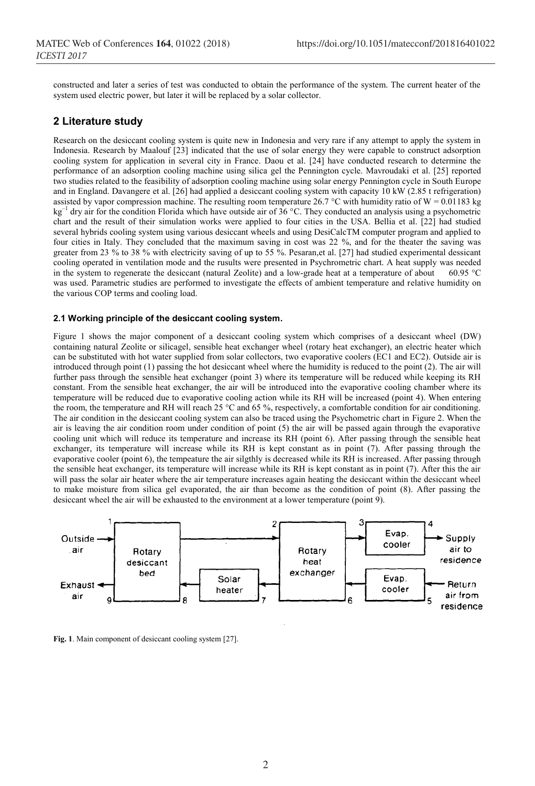constructed and later a series of test was conducted to obtain the performance of the system. The current heater of the system used electric power, but later it will be replaced by a solar collector.

# **2 Literature study**

Research on the desiccant cooling system is quite new in Indonesia and very rare if any attempt to apply the system in Indonesia. Research by Maalouf [23] indicated that the use of solar energy they were capable to construct adsorption cooling system for application in several city in France. Daou et al. [24] have conducted research to determine the performance of an adsorption cooling machine using silica gel the Pennington cycle. Mavroudaki et al. [25] reported two studies related to the feasibility of adsorption cooling machine using solar energy Pennington cycle in South Europe and in England. Davangere et al. [26] had applied a desiccant cooling system with capacity 10 kW (2.85 t refrigeration) assisted by vapor compression machine. The resulting room temperature 26.7 °C with humidity ratio of W = 0.01183 kg kg<sup>-1</sup> dry air for the condition Florida which have outside air of 36 °C. They conducted an analysis using a psychometric chart and the result of their simulation works were applied to four cities in the USA. Bellia et al. [22] had studied several hybrids cooling system using various desiccant wheels and using DesiCalcTM computer program and applied to four cities in Italy. They concluded that the maximum saving in cost was 22 %, and for the theater the saving was greater from 23 % to 38 % with electricity saving of up to 55 %. Pesaran,et al. [27] had studied experimental dessicant cooling operated in ventilation mode and the rusults were presented in Psychrometric chart. A heat supply was needed<br>in the system to regenerate the desiccant (natural Zeolite) and a low-grade heat at a temperature of abou in the system to regenerate the desiccant (natural Zeolite) and a low-grade heat at a temperature of about was used. Parametric studies are performed to investigate the effects of ambient temperature and relative humidity on the various COP terms and cooling load.

#### **2.1 Working principle of the desiccant cooling system.**

Figure 1 shows the major component of a desiccant cooling system which comprises of a desiccant wheel (DW) containing natural Zeolite or silicagel, sensible heat exchanger wheel (rotary heat exchanger), an electric heater which can be substituted with hot water supplied from solar collectors, two evaporative coolers (EC1 and EC2). Outside air is introduced through point (1) passing the hot desiccant wheel where the humidity is reduced to the point (2). The air will further pass through the sensible heat exchanger (point 3) where its temperature will be reduced while keeping its RH constant. From the sensible heat exchanger, the air will be introduced into the evaporative cooling chamber where its temperature will be reduced due to evaporative cooling action while its RH will be increased (point 4). When entering the room, the temperature and RH will reach 25 °C and 65 %, respectively, a comfortable condition for air conditioning. The air condition in the desiccant cooling system can also be traced using the Psychometric chart in Figure 2. When the air is leaving the air condition room under condition of point (5) the air will be passed again through the evaporative cooling unit which will reduce its temperature and increase its RH (point 6). After passing through the sensible heat exchanger, its temperature will increase while its RH is kept constant as in point (7). After passing through the evaporative cooler (point 6), the tempeature the air silgthly is decreased while its RH is increased. After passing through the sensible heat exchanger, its temperature will increase while its RH is kept constant as in point (7). After this the air will pass the solar air heater where the air temperature increases again heating the desiccant within the desiccant wheel to make moisture from silica gel evaporated, the air than become as the condition of point (8). After passing the desiccant wheel the air will be exhausted to the environment at a lower temperature (point 9).



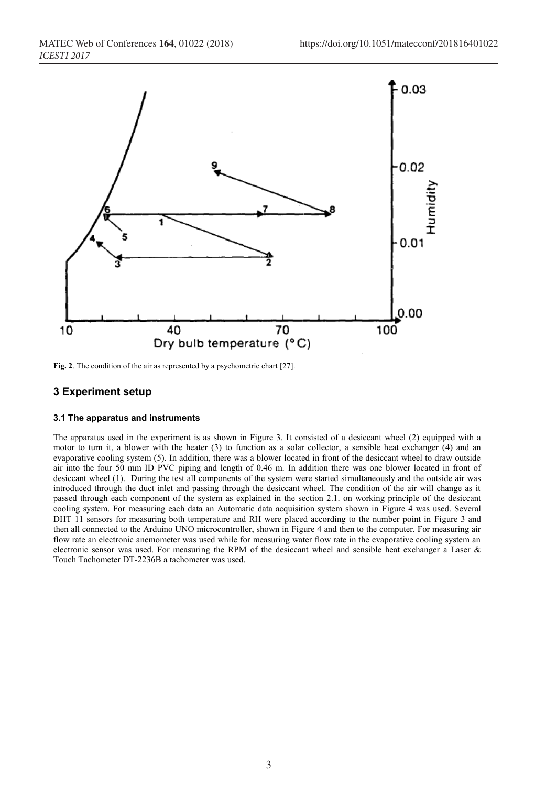

**Fig. 2**. The condition of the air as represented by a psychometric chart [27].

# **3 Experiment setup**

#### **3.1 The apparatus and instruments**

The apparatus used in the experiment is as shown in Figure 3. It consisted of a desiccant wheel (2) equipped with a motor to turn it, a blower with the heater (3) to function as a solar collector, a sensible heat exchanger (4) and an evaporative cooling system (5). In addition, there was a blower located in front of the desiccant wheel to draw outside air into the four 50 mm ID PVC piping and length of 0.46 m. In addition there was one blower located in front of desiccant wheel (1). During the test all components of the system were started simultaneously and the outside air was introduced through the duct inlet and passing through the desiccant wheel. The condition of the air will change as it passed through each component of the system as explained in the section 2.1. on working principle of the desiccant cooling system. For measuring each data an Automatic data acquisition system shown in Figure 4 was used. Several DHT 11 sensors for measuring both temperature and RH were placed according to the number point in Figure 3 and then all connected to the Arduino UNO microcontroller, shown in Figure 4 and then to the computer. For measuring air flow rate an electronic anemometer was used while for measuring water flow rate in the evaporative cooling system an electronic sensor was used. For measuring the RPM of the desiccant wheel and sensible heat exchanger a Laser & Touch Tachometer DT-2236B a tachometer was used.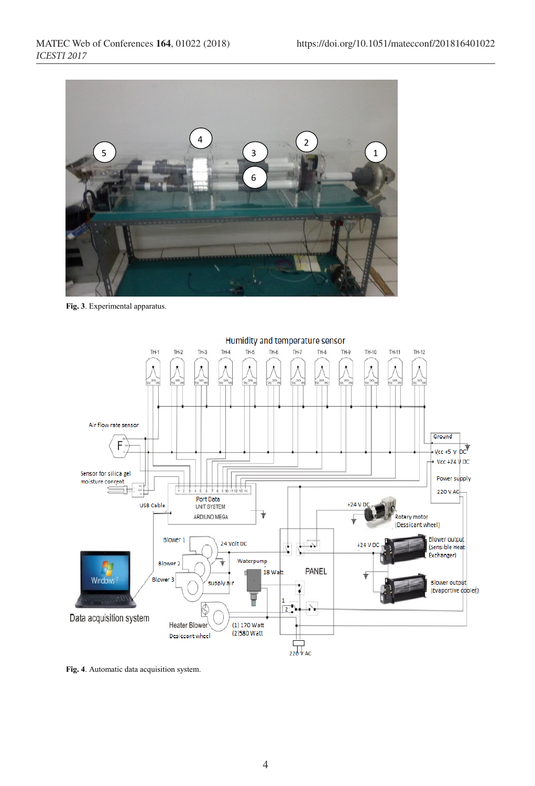

**Fig. 3**. Experimental apparatus.



**Fig. 4**. Automatic data acquisition system.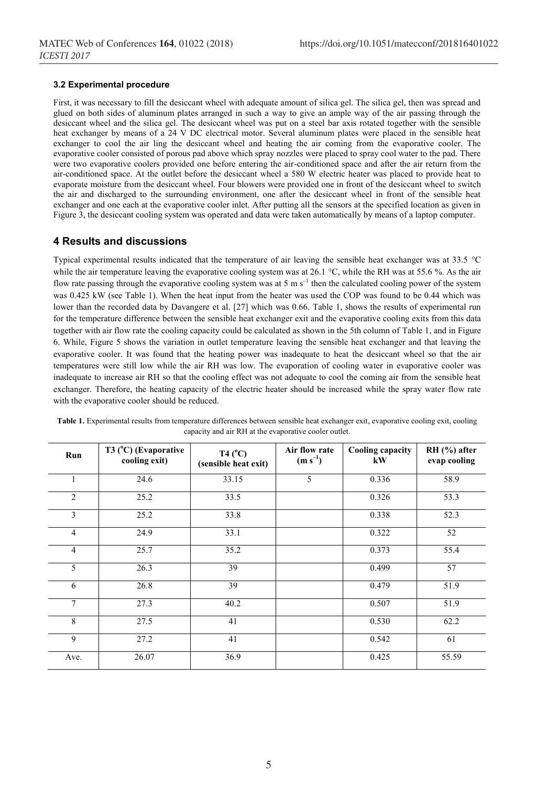#### **3.2 Experimental procedure**

First, it was necessary to fill the desiccant wheel with adequate amount of silica gel. The silica gel, then was spread and glued on both sides of aluminum plates arranged in such a way to give an ample way of the air passing through the desiccant wheel and the silica gel. The desiccant wheel was put on a steel bar axis rotated together with the sensible heat exchanger by means of a 24 V DC electrical motor. Several aluminum plates were placed in the sensible heat exchanger to cool the air ling the desiccant wheel and heating the air coming from the evaporative cooler. The evaporative cooler consisted of porous pad above which spray nozzles were placed to spray cool water to the pad. There were two evaporative coolers provided one before entering the air-conditioned space and after the air return from the air-conditioned space. At the outlet before the desiccant wheel a 580 W electric heater was placed to provide heat to evaporate moisture from the desiccant wheel. Four blowers were provided one in front of the desiccant wheel to switch the air and discharged to the surrounding environment, one after the desiccant wheel in front of the sensible heat exchanger and one each at the evaporative cooler inlet. After putting all the sensors at the specified location as given in Figure 3, the desiccant cooling system was operated and data were taken automatically by means of a laptop computer.

### **4 Results and discussions**

Typical experimental results indicated that the temperature of air leaving the sensible heat exchanger was at 33.5 °C while the air temperature leaving the evaporative cooling system was at  $26.1 \degree$ C, while the RH was at  $55.6 \degree$ . As the air flow rate passing through the evaporative cooling system was at 5 m  $s^{-1}$  then the calculated cooling power of the system was 0.425 kW (see Table 1). When the heat input from the heater was used the COP was found to be 0.44 which was lower than the recorded data by Davangere et al. [27] which was 0.66. Table 1, shows the results of experimental run for the temperature difference between the sensible heat exchanger exit and the evaporative cooling exits from this data together with air flow rate the cooling capacity could be calculated as shown in the 5th column of Table 1, and in Figure 6. While, Figure 5 shows the variation in outlet temperature leaving the sensible heat exchanger and that leaving the evaporative cooler. It was found that the heating power was inadequate to heat the desiccant wheel so that the air temperatures were still low while the air RH was low. The evaporation of cooling water in evaporative cooler was inadequate to increase air RH so that the cooling effect was not adequate to cool the coming air from the sensible heat exchanger. Therefore, the heating capacity of the electric heater should be increased while the spray water flow rate with the evaporative cooler should be reduced.

| Run            | T3 (°C) (Evaporative<br>cooling exit) | $T4(^{\circ}C)$<br>(sensible heat exit) | Air flow rate<br>$(m s^{-1})$ | <b>Cooling capacity</b><br>kW | $RH$ (%) after<br>evap cooling |
|----------------|---------------------------------------|-----------------------------------------|-------------------------------|-------------------------------|--------------------------------|
| $\mathbf{1}$   | 24.6                                  | 33.15                                   | 5                             | 0.336                         | 58.9                           |
| $\overline{2}$ | 25.2                                  | 33.5                                    |                               | 0.326                         | 53.3                           |
| 3              | 25.2                                  | 33.8                                    |                               | 0.338                         | 52.3                           |
| $\overline{4}$ | 24.9                                  | 33.1                                    |                               | 0.322                         | 52                             |
| $\overline{4}$ | 25.7                                  | 35.2                                    |                               | 0.373                         | 55.4                           |
| 5              | 26.3                                  | 39                                      |                               | 0.499                         | 57                             |
| 6              | 26.8                                  | 39                                      |                               | 0.479                         | 51.9                           |
| 7              | 27.3                                  | 40.2                                    |                               | 0.507                         | 51.9                           |
| 8              | 27.5                                  | 41                                      |                               | 0.530                         | 62.2                           |
| 9              | 27.2                                  | 41                                      |                               | 0.542                         | 61                             |
| Ave.           | 26.07                                 | 36.9                                    |                               | 0.425                         | 55.59                          |

**Table 1.** Experimental results from temperature differences between sensible heat exchanger exit, evaporative cooling exit, cooling capacity and air RH at the evaporative cooler outlet.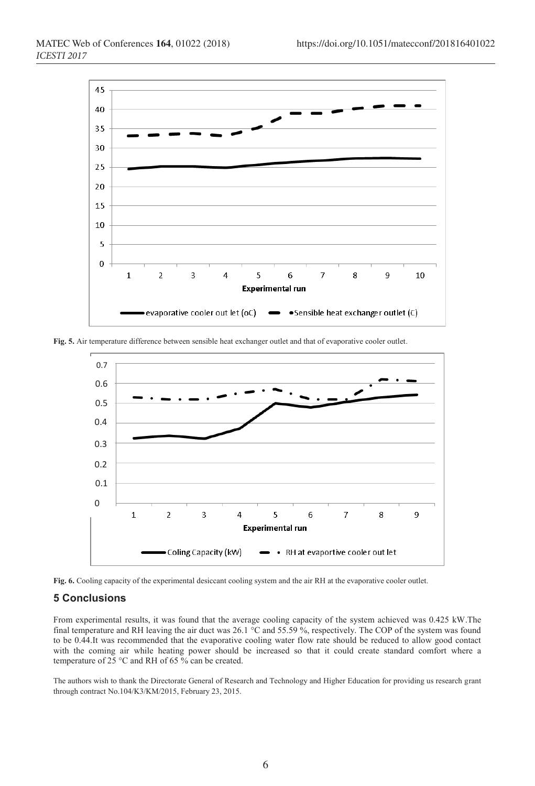

**Fig. 5.** Air temperature difference between sensible heat exchanger outlet and that of evaporative cooler outlet.



**Fig. 6.** Cooling capacity of the experimental desiccant cooling system and the air RH at the evaporative cooler outlet.

## **5 Conclusions**

From experimental results, it was found that the average cooling capacity of the system achieved was 0.425 kW.The final temperature and RH leaving the air duct was 26.1  $\degree$ C and 55.59 %, respectively. The COP of the system was found to be 0.44.It was recommended that the evaporative cooling water flow rate should be reduced to allow good contact with the coming air while heating power should be increased so that it could create standard comfort where a temperature of 25 °C and RH of 65 % can be created.

The authors wish to thank the Directorate General of Research and Technology and Higher Education for providing us research grant through contract No.104/K3/KM/2015, February 23, 2015.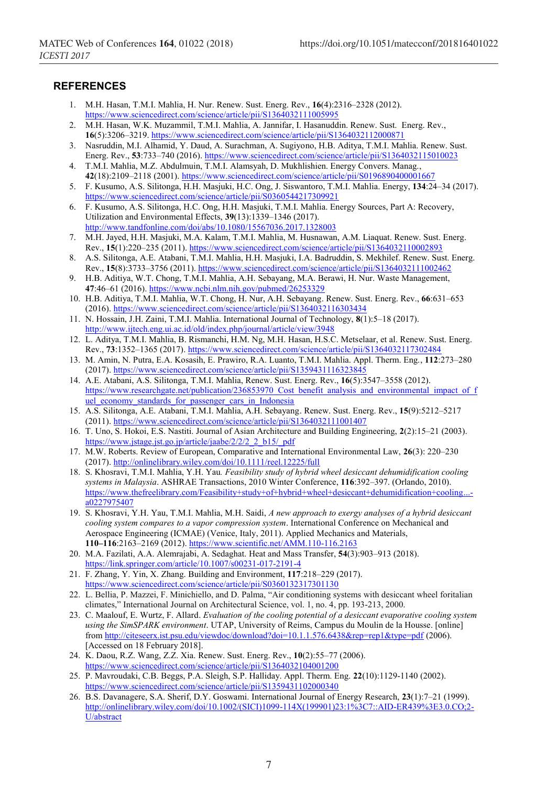# **REFERENCES**

- 1. M.H. Hasan, T.M.I. Mahlia, H. Nur. Renew. Sust. Energ. Rev., **16**(4):2316‒2328 (2012). https://www.sciencedirect.com/science/article/pii/S1364032111005995
- 2. M.H. Hasan, W.K. Muzammil, T.M.I. Mahlia, A. Jannifar, I. Hasanuddin. Renew. Sust. Energ. Rev., **16**(5):3206‒3219. https://www.sciencedirect.com/science/article/pii/S1364032112000871
- 3. Nasruddin, M.I. Alhamid, Y. Daud, A. Surachman, A. Sugiyono, H.B. Aditya, T.M.I. Mahlia. Renew. Sust. Energ. Rev., **53**:733–740 (2016). https://www.sciencedirect.com/science/article/pii/S1364032115010023
- 4. T.M.I. Mahlia, M.Z. Abdulmuin, T.M.I. Alamsyah, D. Mukhlishien. Energy Convers. Manag., **42**(18):2109‒2118 (2001). https://www.sciencedirect.com/science/article/pii/S0196890400001667
- 5. F. Kusumo, A.S. Silitonga, H.H. Masjuki, H.C. Ong, J. Siswantoro, T.M.I. Mahlia. Energy, **134**:24‒34 (2017). https://www.sciencedirect.com/science/article/pii/S0360544217309921
- 6. F. Kusumo, A.S. Silitonga, H.C. Ong, H.H. Masjuki, T.M.I. Mahlia. Energy Sources, Part A: Recovery, Utilization and Environmental Effects, **39**(13):1339‒1346 (2017). http://www.tandfonline.com/doi/abs/10.1080/15567036.2017.1328003
- 7. M.H. Jayed, H.H. Masjuki, M.A. Kalam, T.M.I. Mahlia, M. Husnawan, A.M. Liaquat. Renew. Sust. Energ. Rev., **15**(1):220‒235 (2011). https://www.sciencedirect.com/science/article/pii/S1364032110002893
- 8. A.S. Silitonga, A.E. Atabani, T.M.I. Mahlia, H.H. Masjuki, I.A. Badruddin, S. Mekhilef. Renew. Sust. Energ. Rev., 15(8):3733-3756 (2011). https://www.sciencedirect.com/science/article/pii/S1364032111002462
- 9. H.B. Aditiya, W.T. Chong, T.M.I. Mahlia, A.H. Sebayang, M.A. Berawi, H. Nur. Waste Management, **47**:46‒61 (2016). https://www.ncbi.nlm.nih.gov/pubmed/26253329
- 10. H.B. Aditiya, T.M.I. Mahlia, W.T. Chong, H. Nur, A.H. Sebayang. Renew. Sust. Energ. Rev., 66:631–653 (2016). https://www.sciencedirect.com/science/article/pii/S1364032116303434
- 11. N. Hossain, J.H. Zaini, T.M.I. Mahlia. International Journal of Technology,  $8(1)$ :5-18 (2017). http://www.ijtech.eng.ui.ac.id/old/index.php/journal/article/view/3948
- 12. L. Aditya, T.M.I. Mahlia, B. Rismanchi, H.M. Ng, M.H. Hasan, H.S.C. Metselaar, et al. Renew. Sust. Energ. Rev., **73**:1352‒1365 (2017). https://www.sciencedirect.com/science/article/pii/S1364032117302484
- 13. M. Amin, N. Putra, E.A. Kosasih, E. Prawiro, R.A. Luanto, T.M.I. Mahlia. Appl. Therm. Eng., **112**:273‒280 (2017). https://www.sciencedirect.com/science/article/pii/S1359431116323845
- 14. A.E. Atabani, A.S. Silitonga, T.M.I. Mahlia, Renew. Sust. Energ. Rev., **16**(5):3547‒3558 (2012). https://www.researchgate.net/publication/236853970\_Cost\_benefit\_analysis\_and\_environmental\_impact\_of\_f\_f uel economy standards for passenger cars in Indonesia
- 15. A.S. Silitonga, A.E. Atabani, T.M.I. Mahlia, A.H. Sebayang. Renew. Sust. Energ. Rev., **15**(9):5212‒5217 (2011). https://www.sciencedirect.com/science/article/pii/S1364032111001407
- 16. T. Uno, S. Hokoi, E.S. Nastiti. Journal of Asian Architecture and Building Engineering, **2**(2):15‒21 (2003). https://www.jstage.jst.go.jp/article/jaabe/2/2/2\_2\_b15/\_pdf
- 17. M.W. Roberts. Review of European, Comparative and International Environmental Law, 26(3): 220–230 (2017). http://onlinelibrary.wiley.com/doi/10.1111/reel.12225/full
- 18. S. Khosravi, T.M.I. Mahlia, Y.H. Yau*. Feasibility study of hybrid wheel desiccant dehumidification cooling systems in Malaysia*. ASHRAE Transactions, 2010 Winter Conference, **116**:392‒397. (Orlando, 2010). https://www.thefreelibrary.com/Feasibility+study+of+hybrid+wheel+desiccant+dehumidification+cooling... a0227975407
- 19. S. Khosravi, Y.H. Yau, T.M.I. Mahlia, M.H. Saidi, *A new approach to exergy analyses of a hybrid desiccant cooling system compares to a vapor compression system*. International Conference on Mechanical and Aerospace Engineering (ICMAE) (Venice, Italy, 2011). Applied Mechanics and Materials, **110‒116**:2163‒2169 (2012). https://www.scientific.net/AMM.110-116.2163
- 20. M.A. Fazilati, A.A. Alemrajabi, A. Sedaghat. Heat and Mass Transfer, **54**(3):903‒913 (2018). https://link.springer.com/article/10.1007/s00231-017-2191-4
- 21. F. Zhang, Y. Yin, X. Zhang. Building and Environment, **117**:218‒229 (2017). https://www.sciencedirect.com/science/article/pii/S0360132317301130
- 22. L. Bellia, P. Mazzei, F. Minichiello, and D. Palma, "Air conditioning systems with desiccant wheel foritalian climates," International Journal on Architectural Science, vol. 1, no. 4, pp. 193-213, 2000.
- 23. C. Maalouf, E. Wurtz, F. Allard. *Evaluation of the cooling potential of a desiccant evaporative cooling system using the SimSPARK environment*. UTAP, University of Reims, Campus du Moulin de la Housse. [online] from http://citeseerx.ist.psu.edu/viewdoc/download?doi=10.1.1.576.6438&rep=rep1&type=pdf (2006). [Accessed on 18 February 2018].
- 24. K. Daou, R.Z. Wang, Z.Z. Xia. Renew. Sust. Energ. Rev., **10**(2):55‒77 (2006). https://www.sciencedirect.com/science/article/pii/S1364032104001200
- 25. P. Mavroudaki, C.B. Beggs, P.A. Sleigh, S.P. Halliday. Appl. Therm. Eng. **22**(10):1129-1140 (2002). https://www.sciencedirect.com/science/article/pii/S1359431102000340
- 26. B.S. Davanagere, S.A. Sherif, D.Y. Goswami. International Journal of Energy Research, **23**(1):7‒21 (1999). http://onlinelibrary.wiley.com/doi/10.1002/(SICI)1099-114X(199901)23:1%3C7::AID-ER439%3E3.0.CO;2- U/abstract